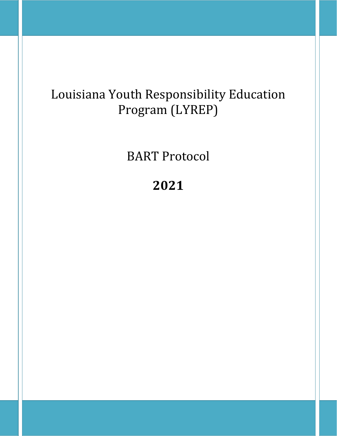# Louisiana Youth Responsibility Education Program (LYREP)

# BART Protocol

# **2021**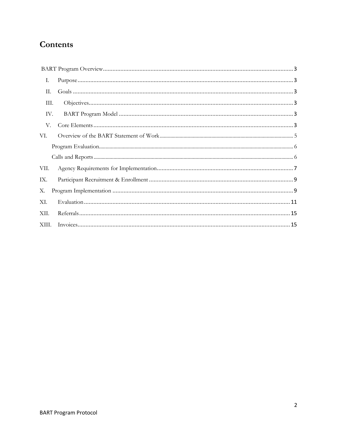# Contents

| Ι.    |  |
|-------|--|
| П.    |  |
| Ш.    |  |
| IV.   |  |
| V.    |  |
| VI.   |  |
|       |  |
|       |  |
| VII.  |  |
| IX.   |  |
| Х.    |  |
| XI.   |  |
| XII.  |  |
| XIII. |  |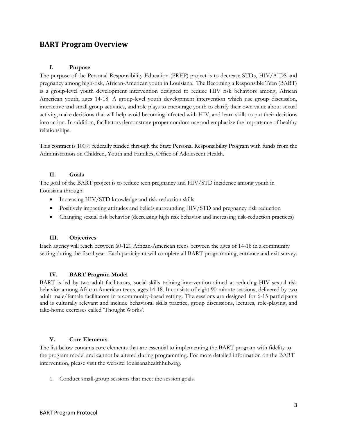# <span id="page-2-0"></span>**BART Program Overview**

#### <span id="page-2-1"></span>**I. Purpose**

The purpose of the Personal Responsibility Education (PREP) project is to decrease STDs, HIV/AIDS and pregnancy among high-risk, African-American youth in Louisiana. The Becoming a Responsible Teen (BART) is a group-level youth development intervention designed to reduce HIV risk behaviors among, African American youth, ages 14-18. A group-level youth development intervention which use group discussion, interactive and small group activities, and role plays to encourage youth to clarify their own value about sexual activity, make decisions that will help avoid becoming infected with HIV, and learn skills to put their decisions into action. In addition, facilitators demonstrate proper condom use and emphasize the importance of healthy relationships.

This contract is 100% federally funded through the State Personal Responsibility Program with funds from the Administration on Children, Youth and Families, Office of Adolescent Health.

### <span id="page-2-2"></span>**II. Goals**

The goal of the BART project is to reduce teen pregnancy and HIV/STD incidence among youth in Louisiana through:

- Increasing HIV/STD knowledge and risk-reduction skills
- Positively impacting attitudes and beliefs surrounding HIV/STD and pregnancy risk reduction
- Changing sexual risk behavior (decreasing high risk behavior and increasing risk-reduction practices)

# <span id="page-2-3"></span>**III. Objectives**

Each agency will reach between 60-120 African-American teens between the ages of 14-18 in a community setting during the fiscal year. Each participant will complete all BART programming, entrance and exit survey.

#### <span id="page-2-4"></span>**IV. BART Program Model**

BART is led by two adult facilitators, social-skills training intervention aimed at reducing HIV sexual risk behavior among African American teens, ages 14-18. It consists of eight 90-minute sessions, delivered by two adult male/female facilitators in a community-based setting. The sessions are designed for 6-15 participants and is culturally relevant and include behavioral skills practice, group discussions, lectures, role-playing, and take-home exercises called 'Thought Works'.

# <span id="page-2-5"></span>**V. Core Elements**

The list below contains core elements that are essential to implementing the BART program with fidelity to the program model and cannot be altered during programming. For more detailed information on the BART intervention, please visit the website: louisianahealthhub.org.

1. Conduct small-group sessions that meet the session goals.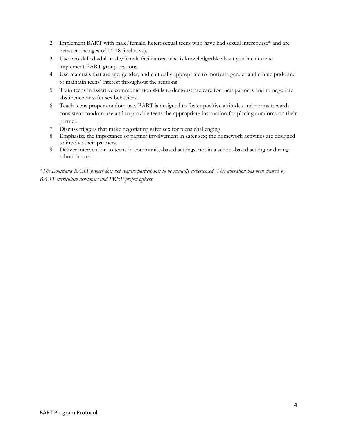- 2. Implement BART with male/female, heterosexual teens who have had sexual intercourse\* and are between the ages of 14-18 (inclusive).
- 3. Use two skilled adult male/female facilitators, who is knowledgeable about youth culture to implement BART group sessions.
- 4. Use materials that are age, gender, and culturally appropriate to motivate gender and ethnic pride and to maintain teens' interest throughout the sessions.
- 5. Train teens in assertive communication skills to demonstrate care for their partners and to negotiate abstinence or safer sex behaviors.
- 6. Teach teens proper condom use. BART is designed to foster positive attitudes and norms towards consistent condom use and to provide teens the appropriate instruction for placing condoms on their partner.
- 7. Discuss triggers that make negotiating safer sex for teens challenging.
- 8. Emphasize the importance of partner involvement in safer sex; the homework activities are designed to involve their partners.
- 9. Deliver intervention to teens in community-based settings, not in a school-based setting or during school hours.

\**The Louisiana BART project does not require participants to be sexually experienced. This alteration has been cleared by BART curriculum developers and PREP project officers.*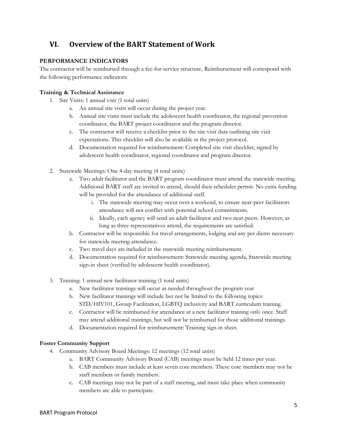# <span id="page-4-0"></span>**VI. Overview of the BART Statement of Work**

# **PERFORMANCE INDICATORS**

The contractor will be reimbursed through a fee-for-service structure. Reimbursement will correspond with the following performance indicators:

# **Training & Technical Assistance**

- 1. Site Visits: 1 annual visit (1 total units)
	- a. An annual site visits will occur during the project year.
	- b. Annual site visits must include the adolescent health coordinator, the regional prevention coordinator, the BART project coordinator and the program director.
	- c. The contractor will receive a checklist prior to the site visit data outlining site visit expectations. This checklist will also be available in the project protocol.
	- d. Documentation required for reimbursement: Completed site visit checklist, signed by adolescent health coordinator, regional coordinator and program director.
- 2. Statewide Meetings: One 4-day meeting (4 total units)
	- a. Two adult facilitator and the BART program coordinator must attend the statewide meeting. Additional BART staff are invited to attend, should their schedules permit. No extra funding will be provided for the attendance of additional staff.
		- i. The statewide meeting may occur over a weekend, to ensure near-peer facilitators attendance will not conflict with potential school commitments.
		- ii. Ideally, each agency will send an adult facilitator and two near-peers. However, as long as three representatives attend, the requirements are satisfied.
	- b. Contractor will be responsible for travel arrangements, lodging and any per diems necessary for statewide meeting attendance.
	- c. Two travel days are included in the statewide meeting reimbursement.
	- d. Documentation required for reimbursement: Statewide meeting agenda, Statewide meeting sign-in sheet (verified by adolescent health coordinator).
- 3. Training: 1 annual new facilitator training (1 total units)
	- a. New facilitator trainings will occur as needed throughout the program year
	- b. New facilitator trainings will include but not be limited to the following topics: STD/HIV101, Group Facilitation, LGBTQ inclusivity and BART curriculum training.
	- c. Contractor will be reimbursed for attendance at a new facilitator training only once. Staff may attend additional trainings, but will not be reimbursed for those additional trainings.
	- d. Documentation required for reimbursement: Training sign-in sheet.

# **Foster Community Support**

- 4. Community Advisory Board Meetings: 12 meetings (12 total units)
	- a. BART Community Advisory Board (CAB) meetings must be held 12 times per year.
	- b. CAB members must include at least seven core members. These core members may not be staff members or family members.
	- c. CAB meetings may not be part of a staff meeting, and must take place when community members are able to participate.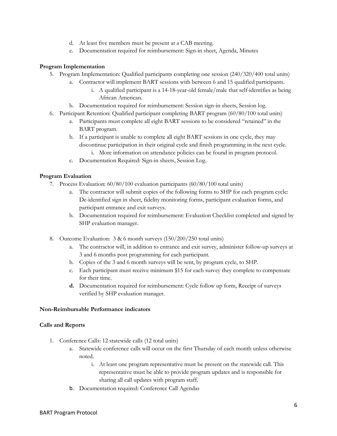- d. At least five members must be present at a CAB meeting.
- e. Documentation required for reimbursement: Sign-in sheet, Agenda, Minutes

### **Program Implementation**

- 5. Program Implementation: Qualified participants completing one session (240/320/400 total units)
	- a. Contractor will implement BART sessions with between 6 and 15 qualified participants.
		- i. A qualified participant is a 14-18-year-old female/male that self-identifies as being African American.
	- b. Documentation required for reimbursement: Session sign-in sheets, Session log.
- 6. Participant Retention: Qualified participant completing BART program (60/80/100 total units)
	- a. Participants must complete all eight BART sessions to be considered "retained" in the BART program.
	- b. If a participant is unable to complete all eight BART sessions in one cycle, they may discontinue participation in their original cycle and finish programming in the next cycle. i. More information on attendance policies can be found in program protocol.
	- c. Documentation Required: Sign-in sheets, Session Log.

### <span id="page-5-0"></span>**Program Evaluation**

- 7. Process Evaluation: 60/80/100 evaluation participants (60/80/100 total units)
	- a. The contractor will submit copies of the following forms to SHP for each program cycle: De-identified sign in sheet, fidelity monitoring forms, participant evaluation forms, and participant entrance and exit surveys.
	- b. Documentation required for reimbursement: Evaluation Checklist completed and signed by SHP evaluation manager.
- 8. Outcome Evaluation: 3 & 6 month surveys (150/200/250 total units)
	- a. The contractor will, in addition to entrance and exit survey, administer follow-up surveys at 3 and 6 months post programming for each participant.
	- b. Copies of the 3 and 6 month surveys will be sent, by program cycle, to SHP.
	- c. Each participant must receive minimum \$15 for each survey they complete to compensate for their time.
	- **d.** Documentation required for reimbursement: Cycle follow up form, Receipt of surveys verified by SHP evaluation manager.

#### **Non-Reimbursable Performance indicators**

#### <span id="page-5-1"></span>**Calls and Reports**

- 1. Conference Calls: 12 statewide calls (12 total units)
	- a. Statewide conference calls will occur on the first Thursday of each month unless otherwise noted.
		- i. At least one program representative must be present on the statewide call. This representative must be able to provide program updates and is responsible for sharing all call updates with program staff.
	- b. Documentation required: Conference Call Agendas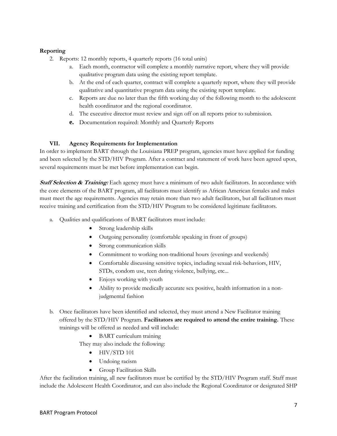# **Reporting**

- 2. Reports: 12 monthly reports, 4 quarterly reports (16 total units)
	- a. Each month, contractor will complete a monthly narrative report, where they will provide qualitative program data using the existing report template.
	- b. At the end of each quarter, contract will complete a quarterly report, where they will provide qualitative and quantitative program data using the existing report template.
	- c. Reports are due no later than the fifth working day of the following month to the adolescent health coordinator and the regional coordinator.
	- d. The executive director must review and sign off on all reports prior to submission.
	- **e.** Documentation required: Monthly and Quarterly Reports

# <span id="page-6-0"></span>**VII. Agency Requirements for Implementation**

In order to implement BART through the Louisiana PREP program, agencies must have applied for funding and been selected by the STD/HIV Program. After a contract and statement of work have been agreed upon, several requirements must be met before implementation can begin.

**Staff Selection & Training:** Each agency must have a minimum of two adult facilitators. In accordance with the core elements of the BART program, all facilitators must identify as African American females and males must meet the age requirements. Agencies may retain more than two adult facilitators, but all facilitators must receive training and certification from the STD/HIV Program to be considered legitimate facilitators.

- a. Qualities and qualifications of BART facilitators must include:
	- Strong leadership skills
	- Outgoing personality (comfortable speaking in front of groups)
	- Strong communication skills
	- Commitment to working non-traditional hours (evenings and weekends)
	- Comfortable discussing sensitive topics, including sexual risk-behaviors, HIV, STDs, condom use, teen dating violence, bullying, etc...
	- Enjoys working with youth
	- Ability to provide medically accurate sex positive, health information in a nonjudgmental fashion
- b. Once facilitators have been identified and selected, they must attend a New Facilitator training offered by the STD/HIV Program. **Facilitators are required to attend the entire training.** These trainings will be offered as needed and will include:
	- BART curriculum training
	- They may also include the following:
		- $\bullet$  HIV/STD 101
		- Undoing racism
		- Group Facilitation Skills

After the facilitation training, all new facilitators must be certified by the STD/HIV Program staff. Staff must include the Adolescent Health Coordinator, and can also include the Regional Coordinator or designated SHP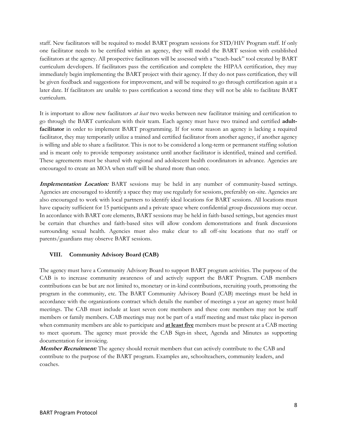staff. New facilitators will be required to model BART program sessions for STD/HIV Program staff. If only one facilitator needs to be certified within an agency, they will model the BART session with established facilitators at the agency. All prospective facilitators will be assessed with a "teach-back" tool created by BART curriculum developers. If facilitators pass the certification and complete the HIPAA certification, they may immediately begin implementing the BART project with their agency. If they do not pass certification, they will be given feedback and suggestions for improvement, and will be required to go through certification again at a later date. If facilitators are unable to pass certification a second time they will not be able to facilitate BART curriculum.

It is important to allow new facilitators *at least* two weeks between new facilitator training and certification to go through the BART curriculum with their team. Each agency must have two trained and certified **adultfacilitator** in order to implement BART programming. If for some reason an agency is lacking a required facilitator, they may temporarily utilize a trained and certified facilitator from another agency, if another agency is willing and able to share a facilitator. This is not to be considered a long-term or permanent staffing solution and is meant only to provide temporary assistance until another facilitator is identified, trained and certified. These agreements must be shared with regional and adolescent health coordinators in advance. Agencies are encouraged to create an MOA when staff will be shared more than once.

**Implementation Location:** BART sessions may be held in any number of community-based settings. Agencies are encouraged to identify a space they may use regularly for sessions, preferably on-site. Agencies are also encouraged to work with local partners to identify ideal locations for BART sessions. All locations must have capacity sufficient for 15 participants and a private space where confidential group discussions may occur. In accordance with BART core elements, BART sessions may be held in faith-based settings, but agencies must be certain that churches and faith-based sites will allow condom demonstrations and frank discussions surrounding sexual health. Agencies must also make clear to all off-site locations that no staff or parents/guardians may observe BART sessions.

# **VIII. Community Advisory Board (CAB)**

The agency must have a Community Advisory Board to support BART program activities. The purpose of the CAB is to increase community awareness of and actively support the BART Program. CAB members contributions can be but are not limited to, monetary or in-kind contributions, recruiting youth, promoting the program in the community, etc. The BART Community Advisory Board (CAB) meetings must be held in accordance with the organizations contract which details the number of meetings a year an agency must hold meetings. The CAB must include at least seven core members and these core members may not be staff members or family members. CAB meetings may not be part of a staff meeting and must take place in-person when community members are able to participate and **at least five** members must be present at a CAB meeting to meet quorum. The agency must provide the CAB Sign-in sheet, Agenda and Minutes as supporting documentation for invoicing.

**Member Recruitment:** The agency should recruit members that can actively contribute to the CAB and contribute to the purpose of the BART program. Examples are, schoolteachers, community leaders, and coaches.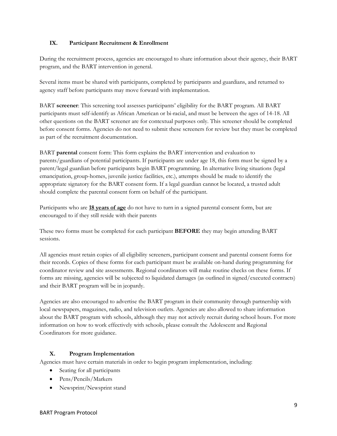# <span id="page-8-0"></span>**IX. Participant Recruitment & Enrollment**

During the recruitment process, agencies are encouraged to share information about their agency, their BART program, and the BART intervention in general.

Several items must be shared with participants, completed by participants and guardians, and returned to agency staff before participants may move forward with implementation.

BART **screener**: This screening tool assesses participants' eligibility for the BART program. All BART participants must self-identify as African American or bi-racial, and must be between the ages of 14-18. All other questions on the BART screener are for contextual purposes only. This screener should be completed before consent forms. Agencies do not need to submit these screeners for review but they must be completed as part of the recruitment documentation.

BART **parental** consent form: This form explains the BART intervention and evaluation to parents/guardians of potential participants. If participants are under age 18, this form must be signed by a parent/legal guardian before participants begin BART programming. In alternative living situations (legal emancipation, group-homes, juvenile justice facilities, etc.), attempts should be made to identify the appropriate signatory for the BART consent form. If a legal guardian cannot be located, a trusted adult should complete the parental consent form on behalf of the participant.

Participants who are **18 years of age** do not have to turn in a signed parental consent form, but are encouraged to if they still reside with their parents

These two forms must be completed for each participant **BEFORE** they may begin attending BART sessions.

All agencies must retain copies of all eligibility screeners, participant consent and parental consent forms for their records. Copies of these forms for each participant must be available on-hand during programming for coordinator review and site assessments. Regional coordinators will make routine checks on these forms. If forms are missing, agencies will be subjected to liquidated damages (as outlined in signed/executed contracts) and their BART program will be in jeopardy.

Agencies are also encouraged to advertise the BART program in their community through partnership with local newspapers, magazines, radio, and television outlets. Agencies are also allowed to share information about the BART program with schools, although they may not actively recruit during school hours. For more information on how to work effectively with schools, please consult the Adolescent and Regional Coordinators for more guidance.

# <span id="page-8-1"></span>**X. Program Implementation**

Agencies must have certain materials in order to begin program implementation, including:

- Seating for all participants
- Pens/Pencils/Markers
- Newsprint/Newsprint stand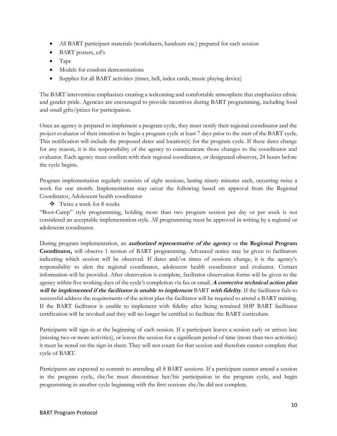- All BART participant materials (worksheets, handouts etc.) prepared for each session
- BART posters, cd's
- Tape
- Models for condom demonstrations
- Supplies for all BART activities (timer, bell, index cards, music playing device)

The BART intervention emphasizes creating a welcoming and comfortable atmosphere that emphasizes ethnic and gender pride. Agencies are encouraged to provide incentives during BART programming, including food and small gifts/prizes for participation.

Once an agency is prepared to implement a program cycle, they must notify their regional coordinator and the project evaluator of their intention to begin a program cycle at least 7 days prior to the start of the BART cycle. This notification will include the proposed dates and location(s) for the program cycle. If these dates change for any reason, it is the responsibility of the agency to communicate those changes to the coordinator and evaluator. Each agency must confirm with their regional coordinator, or designated observer, 24 hours before the cycle begins.

Program implementation regularly consists of eight sessions, lasting ninety minutes each, occurring twice a week for one month. Implementation may occur the following based on approval from the Regional Coordinator, Adolescent health coordinator

Twice a week for 8 weeks

"Boot-Camp" style programming, holding more than two program session per day or per week is not considered an acceptable implementation style. All programming must be approved in writing by a regional or adolescent coordinator.

During program implementation, an **authorized representative of the agency** or **the Regional Program Coordinator,** will observe 1 session of BART programming. Advanced notice may be given to facilitators indicating which session will be observed. If dates and/or times of sessions change, it is the agency's responsibility to alert the regional coordinator, adolescent health coordinator and evaluator. Contact information will be provided. After observation is complete, facilitator observation forms will be given to the agency within five working days of the cycle's completion via fax or email. **A corrective technical action plan will be implemented if the facilitator is unable to implement** BART **with fidelity**. If the facilitator fails to successful address the requirements of the action plan the facilitator will be required to attend a BART training. If the BART facilitator is unable to implement with fidelity after being retrained SHP BART facilitator certification will be revoked and they will no longer be certified to facilitate the BART curriculum.

Participants will sign-in at the beginning of each session. If a participant leaves a session early or arrives late (missing two or more activities), or leaves the session for a significant period of time (more than two activities) it must be noted on the sign-in sheet. They will not count for that session and therefore cannot complete that cycle of BART.

Participants are expected to commit to attending all 8 BART sessions. If a participant cannot attend a session in the program cycle, she/he must discontinue her/his participation in the program cycle, and begin programming in another cycle beginning with the first sessions she/he did not complete.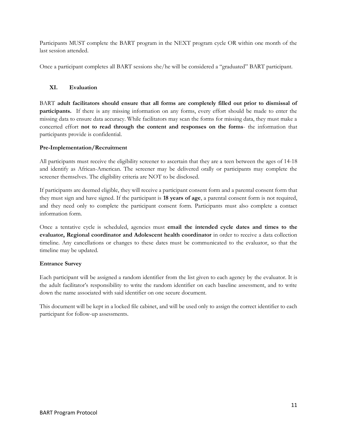Participants MUST complete the BART program in the NEXT program cycle OR within one month of the last session attended.

<span id="page-10-0"></span>Once a participant completes all BART sessions she/he will be considered a "graduated" BART participant.

# **XI. Evaluation**

BART **adult facilitators should ensure that all forms are completely filled out prior to dismissal of participants.** If there is any missing information on any forms, every effort should be made to enter the missing data to ensure data accuracy. While facilitators may scan the forms for missing data, they must make a concerted effort **not to read through the content and responses on the forms**- the information that participants provide is confidential.

# **Pre-Implementation/Recruitment**

All participants must receive the eligibility screener to ascertain that they are a teen between the ages of 14-18 and identify as African-American. The screener may be delivered orally or participants may complete the screener themselves. The eligibility criteria are NOT to be disclosed.

If participants are deemed eligible, they will receive a participant consent form and a parental consent form that they must sign and have signed. If the participant is **18 years of age**, a parental consent form is not required, and they need only to complete the participant consent form. Participants must also complete a contact information form.

Once a tentative cycle is scheduled, agencies must **email the intended cycle dates and times to the evaluator, Regional coordinator and Adolescent health coordinator** in order to receive a data collection timeline. Any cancellations or changes to these dates must be communicated to the evaluator, so that the timeline may be updated.

# **Entrance Survey**

Each participant will be assigned a random identifier from the list given to each agency by the evaluator. It is the adult facilitator's responsibility to write the random identifier on each baseline assessment, and to write down the name associated with said identifier on one secure document.

This document will be kept in a locked file cabinet, and will be used only to assign the correct identifier to each participant for follow-up assessments.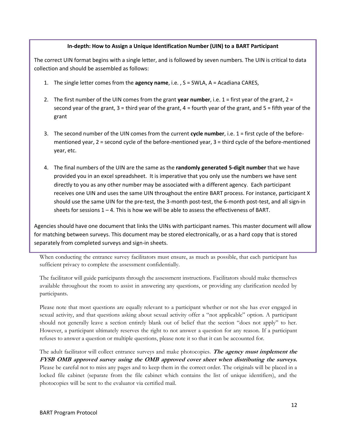# **In-depth: How to Assign a Unique Identification Number (UIN) to a BART Participant**

The correct UIN format begins with a single letter, and is followed by seven numbers. The UIN is critical to data collection and should be assembled as follows:

- 1. The single letter comes from the **agency name**, i.e. , S = SWLA, A = Acadiana CARES,
- 2. The first number of the UIN comes from the grant **year number**, i.e. 1 = first year of the grant, 2 = second year of the grant, 3 = third year of the grant, 4 = fourth year of the grant, and 5 = fifth year of the grant
- 3. The second number of the UIN comes from the current **cycle number**, i.e. 1 = first cycle of the beforementioned year, 2 = second cycle of the before-mentioned year, 3 = third cycle of the before-mentioned year, etc.
- 4. The final numbers of the UIN are the same as the **randomly generated 5-digit number** that we have provided you in an excel spreadsheet. It is imperative that you only use the numbers we have sent directly to you as any other number may be associated with a different agency. Each participant receives one UIN and uses the same UIN throughout the entire BART process. For instance, participant X should use the same UIN for the pre-test, the 3-month post-test, the 6-month post-test, and all sign-in sheets for sessions  $1 - 4$ . This is how we will be able to assess the effectiveness of BART.

Agencies should have one document that links the UINs with participant names. This master document will allow for matching between surveys. This document may be stored electronically, or as a hard copy that is stored separately from completed surveys and sign-in sheets.

When conducting the entrance survey facilitators must ensure, as much as possible, that each participant has sufficient privacy to complete the assessment confidentially.

The facilitator will guide participants through the assessment instructions. Facilitators should make themselves available throughout the room to assist in answering any questions, or providing any clarification needed by participants.

Please note that most questions are equally relevant to a participant whether or not she has ever engaged in sexual activity, and that questions asking about sexual activity offer a "not applicable" option. A participant should not generally leave a section entirely blank out of belief that the section "does not apply" to her. However, a participant ultimately reserves the right to not answer a question for any reason. If a participant refuses to answer a question or multiple questions, please note it so that it can be accounted for.

The adult facilitator will collect entrance surveys and make photocopies. **The agency must implement the FYSB OMB approved survey using the OMB approved cover sheet when distributing the surveys.** Please be careful not to miss any pages and to keep them in the correct order. The originals will be placed in a locked file cabinet (separate from the file cabinet which contains the list of unique identifiers), and the photocopies will be sent to the evaluator via certified mail.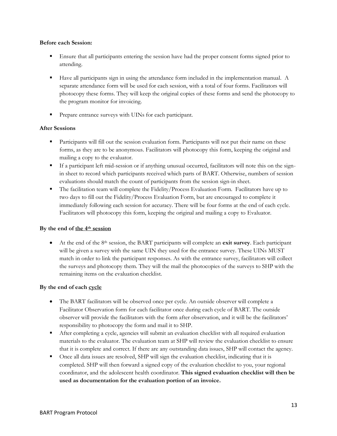# **Before each Session:**

- Ensure that all participants entering the session have had the proper consent forms signed prior to attending.
- Have all participants sign in using the attendance form included in the implementation manual. A separate attendance form will be used for each session, with a total of four forms. Facilitators will photocopy these forms. They will keep the original copies of these forms and send the photocopy to the program monitor for invoicing.
- Prepare entrance surveys with UINs for each participant.

# **After Sessions**

- **Participants will fill out the session evaluation form. Participants will not put their name on these** forms, as they are to be anonymous. Facilitators will photocopy this form, keeping the original and mailing a copy to the evaluator.
- If a participant left mid-session or if anything unusual occurred, facilitators will note this on the signin sheet to record which participants received which parts of BART. Otherwise, numbers of session evaluations should match the count of participants from the session sign-in sheet.
- The facilitation team will complete the Fidelity/Process Evaluation Form. Facilitators have up to two days to fill out the Fidelity/Process Evaluation Form, but are encouraged to complete it immediately following each session for accuracy. There will be four forms at the end of each cycle. Facilitators will photocopy this form, keeping the original and mailing a copy to Evaluator.

# **By the end of the 4th session**

 At the end of the 8th session, the BART participants will complete an **exit survey**. Each participant will be given a survey with the same UIN they used for the entrance survey. These UINs MUST match in order to link the participant responses. As with the entrance survey, facilitators will collect the surveys and photocopy them. They will the mail the photocopies of the surveys to SHP with the remaining items on the evaluation checklist.

# **By the end of each cycle**

- The BART facilitators will be observed once per cycle. An outside observer will complete a Facilitator Observation form for each facilitator once during each cycle of BART. The outside observer will provide the facilitators with the form after observation, and it will be the facilitators' responsibility to photocopy the form and mail it to SHP.
- After completing a cycle, agencies will submit an evaluation checklist with all required evaluation materials to the evaluator. The evaluation team at SHP will review the evaluation checklist to ensure that it is complete and correct. If there are any outstanding data issues, SHP will contact the agency.
- Once all data issues are resolved, SHP will sign the evaluation checklist, indicating that it is completed. SHP will then forward a signed copy of the evaluation checklist to you, your regional coordinator, and the adolescent health coordinator. **This signed evaluation checklist will then be used as documentation for the evaluation portion of an invoice.**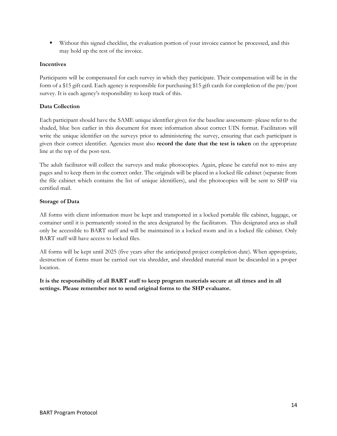Without this signed checklist, the evaluation portion of your invoice cannot be processed, and this may hold up the rest of the invoice.

# **Incentives**

Participants will be compensated for each survey in which they participate. Their compensation will be in the form of a \$15 gift card. Each agency is responsible for purchasing \$15 gift cards for completion of the pre/post survey. It is each agency's responsibility to keep track of this.

# **Data Collection**

Each participant should have the SAME unique identifier given for the baseline assessment- please refer to the shaded, blue box earlier in this document for more information about correct UIN format. Facilitators will write the unique identifier on the surveys prior to administering the survey, ensuring that each participant is given their correct identifier. Agencies must also **record the date that the test is taken** on the appropriate line at the top of the post-test.

The adult facilitator will collect the surveys and make photocopies. Again, please be careful not to miss any pages and to keep them in the correct order. The originals will be placed in a locked file cabinet (separate from the file cabinet which contains the list of unique identifiers), and the photocopies will be sent to SHP via certified mail.

# **Storage of Data**

All forms with client information must be kept and transported in a locked portable file cabinet, luggage, or container until it is permanently stored in the area designated by the facilitators. This designated area as shall only be accessible to BART staff and will be maintained in a locked room and in a locked file cabinet. Only BART staff will have access to locked files.

All forms will be kept until 2025 (five years after the anticipated project completion date). When appropriate, destruction of forms must be carried out via shredder, and shredded material must be discarded in a proper location.

**It is the responsibility of all BART staff to keep program materials secure at all times and in all settings. Please remember not to send original forms to the SHP evaluator.**